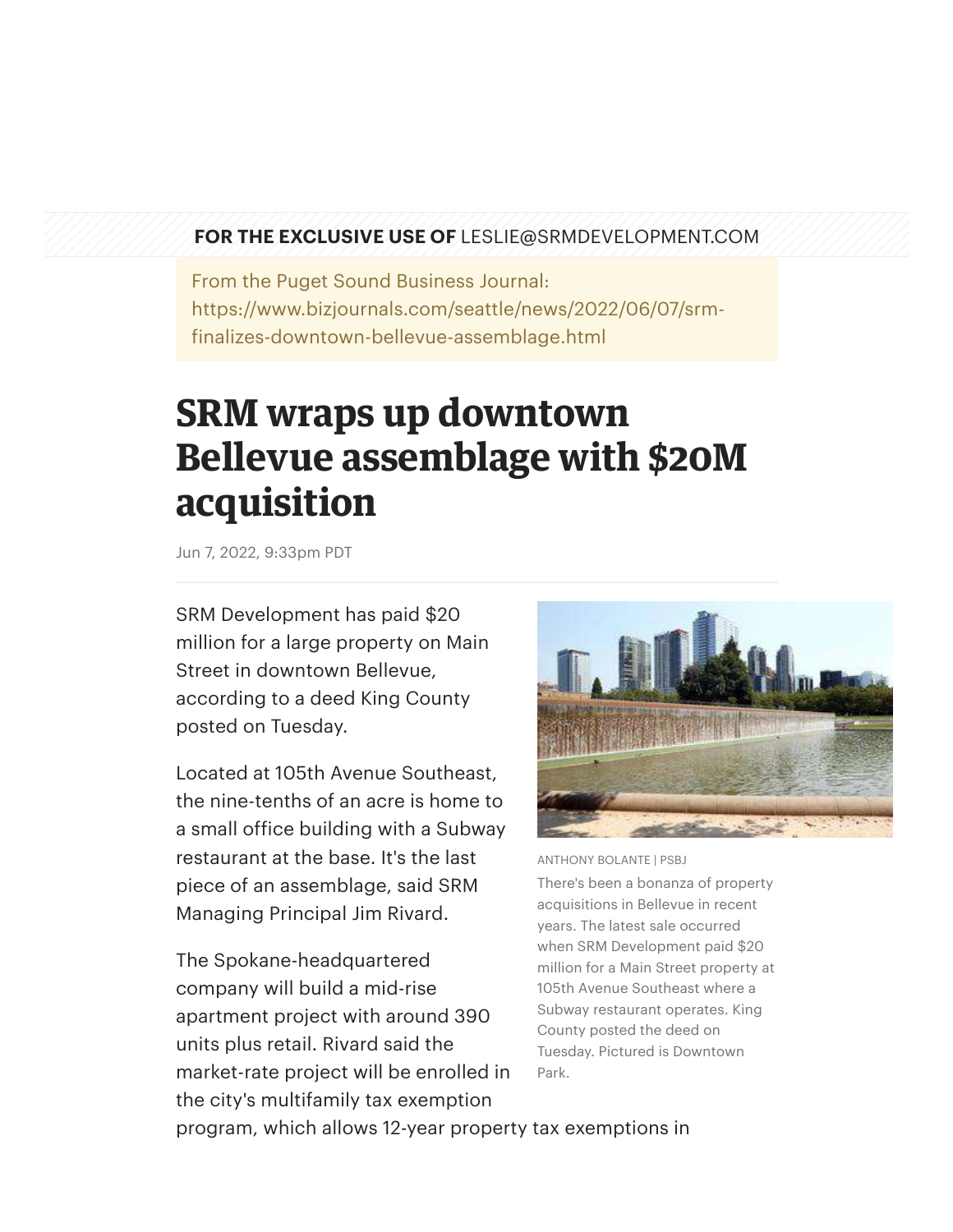## **FOR THE EXCLUSIVE USE OF** LESLIE@SRMDEVELOPMENT.COM

From the Puget Sound Business Journal: https://www.bizjournals.com/seattle/news/2022/06/07/srmfinalizes-downtown-bellevue-assemblage.html

## **SRM wraps up downtown Bellevue assemblage with \$20M acquisition**

Jun 7, 2022, 9:33pm PDT

SRM Development has paid \$20 million for a large property on Main Street in downtown Bellevue, according to a deed King County posted on Tuesday.

Located at 105th Avenue Southeast, the nine-tenths of an acre is home to a small office building with a Subway restaurant at the base. It's the last piece of an assemblage, said SRM Managing Principal Jim Rivard.

The Spokane-headquartered company will build a mid-rise apartment project with around 390 units plus retail. Rivard said the market-rate project will be enrolled in the city's multifamily tax exemption



ANTHONY BOLANTE | PSBJ

There's been a bonanza of property acquisitions in Bellevue in recent years. The latest sale occurred when SRM Development paid \$20 million for a Main Street property at 105th Avenue Southeast where a Subway restaurant operates. King County posted the deed on Tuesday. Pictured is Downtown Park.

program, which allows 12-year property tax exemptions in